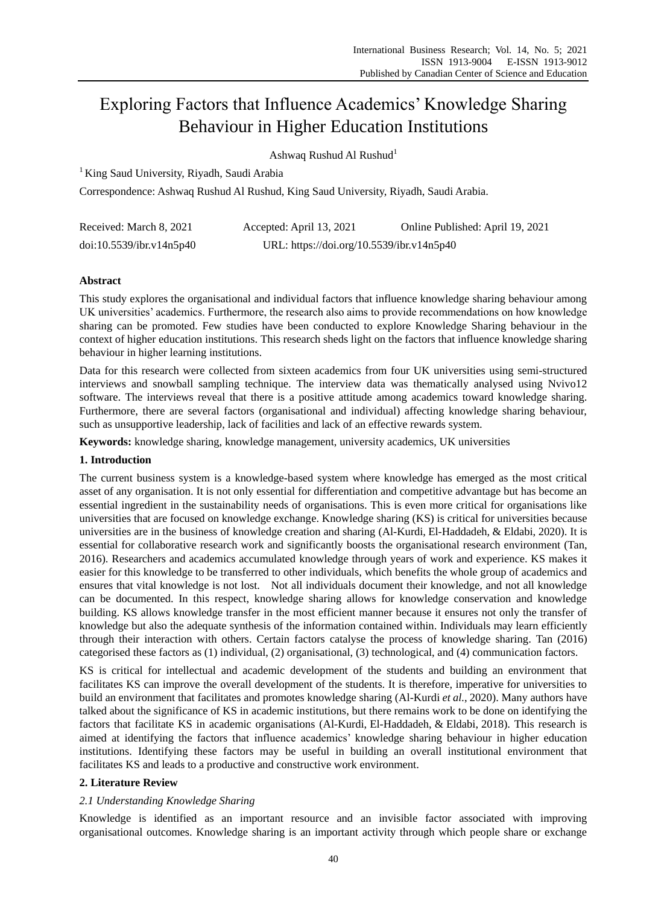# Exploring Factors that Influence Academics' Knowledge Sharing Behaviour in Higher Education Institutions

Ashwaq Rushud Al Rushud<sup>1</sup>

<sup>1</sup> King Saud University, Riyadh, Saudi Arabia

Correspondence: Ashwaq Rushud Al Rushud, King Saud University, Riyadh, Saudi Arabia.

| Received: March 8, 2021  | Accepted: April 13, 2021                  | Online Published: April 19, 2021 |
|--------------------------|-------------------------------------------|----------------------------------|
| doi:10.5539/ibr.v14n5p40 | URL: https://doi.org/10.5539/ibr.v14n5p40 |                                  |

# **Abstract**

This study explores the organisational and individual factors that influence knowledge sharing behaviour among UK universities' academics. Furthermore, the research also aims to provide recommendations on how knowledge sharing can be promoted. Few studies have been conducted to explore Knowledge Sharing behaviour in the context of higher education institutions. This research sheds light on the factors that influence knowledge sharing behaviour in higher learning institutions.

Data for this research were collected from sixteen academics from four UK universities using semi-structured interviews and snowball sampling technique. The interview data was thematically analysed using Nvivo12 software. The interviews reveal that there is a positive attitude among academics toward knowledge sharing. Furthermore, there are several factors (organisational and individual) affecting knowledge sharing behaviour, such as unsupportive leadership, lack of facilities and lack of an effective rewards system.

**Keywords:** knowledge sharing, knowledge management, university academics, UK universities

# **1. Introduction**

The current business system is a knowledge-based system where knowledge has emerged as the most critical asset of any organisation. It is not only essential for differentiation and competitive advantage but has become an essential ingredient in the sustainability needs of organisations. This is even more critical for organisations like universities that are focused on knowledge exchange. Knowledge sharing (KS) is critical for universities because universities are in the business of knowledge creation and sharing (Al-Kurdi, El-Haddadeh, & Eldabi, 2020). It is essential for collaborative research work and significantly boosts the organisational research environment (Tan, 2016). Researchers and academics accumulated knowledge through years of work and experience. KS makes it easier for this knowledge to be transferred to other individuals, which benefits the whole group of academics and ensures that vital knowledge is not lost. Not all individuals document their knowledge, and not all knowledge can be documented. In this respect, knowledge sharing allows for knowledge conservation and knowledge building. KS allows knowledge transfer in the most efficient manner because it ensures not only the transfer of knowledge but also the adequate synthesis of the information contained within. Individuals may learn efficiently through their interaction with others. Certain factors catalyse the process of knowledge sharing. Tan (2016) categorised these factors as (1) individual, (2) organisational, (3) technological, and (4) communication factors.

KS is critical for intellectual and academic development of the students and building an environment that facilitates KS can improve the overall development of the students. It is therefore, imperative for universities to build an environment that facilitates and promotes knowledge sharing (Al-Kurdi *et al.*, 2020). Many authors have talked about the significance of KS in academic institutions, but there remains work to be done on identifying the factors that facilitate KS in academic organisations (Al-Kurdi, El-Haddadeh, & Eldabi, 2018). This research is aimed at identifying the factors that influence academics' knowledge sharing behaviour in higher education institutions. Identifying these factors may be useful in building an overall institutional environment that facilitates KS and leads to a productive and constructive work environment.

# **2. Literature Review**

# *2.1 Understanding Knowledge Sharing*

Knowledge is identified as an important resource and an invisible factor associated with improving organisational outcomes. Knowledge sharing is an important activity through which people share or exchange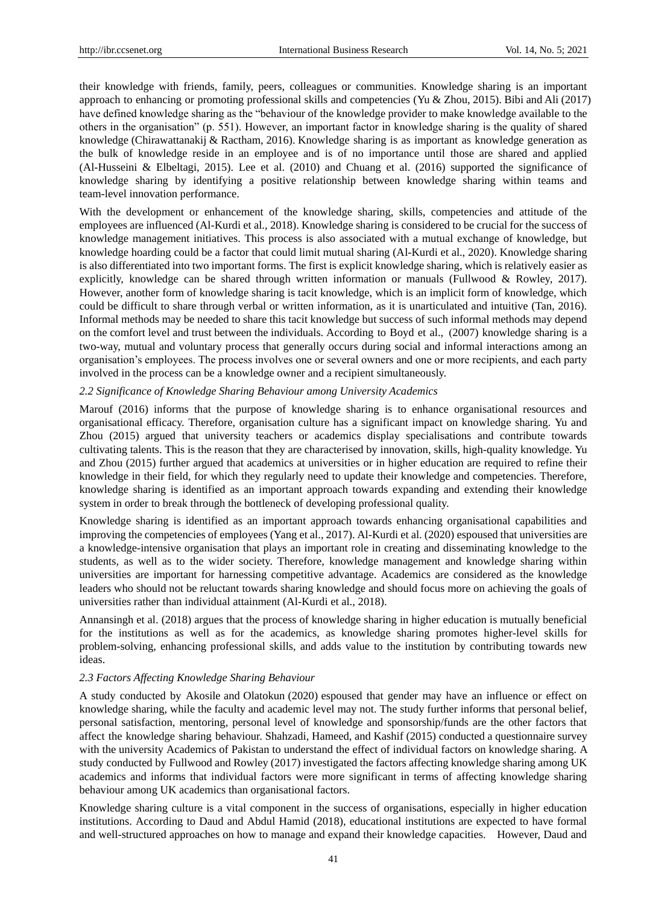their knowledge with friends, family, peers, colleagues or communities. Knowledge sharing is an important approach to enhancing or promoting professional skills and competencies (Yu & Zhou, 2015). Bibi and Ali (2017) have defined knowledge sharing as the "behaviour of the knowledge provider to make knowledge available to the others in the organisation" (p. 551). However, an important factor in knowledge sharing is the quality of shared knowledge (Chirawattanakij & Ractham, 2016). Knowledge sharing is as important as knowledge generation as the bulk of knowledge reside in an employee and is of no importance until those are shared and applied (Al-Husseini & Elbeltagi, 2015). Lee et al. (2010) and Chuang et al. (2016) supported the significance of knowledge sharing by identifying a positive relationship between knowledge sharing within teams and team-level innovation performance.

With the development or enhancement of the knowledge sharing, skills, competencies and attitude of the employees are influenced (Al-Kurdi et al., 2018). Knowledge sharing is considered to be crucial for the success of knowledge management initiatives. This process is also associated with a mutual exchange of knowledge, but knowledge hoarding could be a factor that could limit mutual sharing (Al-Kurdi et al., 2020). Knowledge sharing is also differentiated into two important forms. The first is explicit knowledge sharing, which is relatively easier as explicitly, knowledge can be shared through written information or manuals (Fullwood & Rowley, 2017). However, another form of knowledge sharing is tacit knowledge, which is an implicit form of knowledge, which could be difficult to share through verbal or written information, as it is unarticulated and intuitive (Tan, 2016). Informal methods may be needed to share this tacit knowledge but success of such informal methods may depend on the comfort level and trust between the individuals. According to Boyd et al., )2007) knowledge sharing is a two-way, mutual and voluntary process that generally occurs during social and informal interactions among an organisation's employees. The process involves one or several owners and one or more recipients, and each party involved in the process can be a knowledge owner and a recipient simultaneously.

#### *2.2 Significance of Knowledge Sharing Behaviour among University Academics*

Marouf (2016) informs that the purpose of knowledge sharing is to enhance organisational resources and organisational efficacy. Therefore, organisation culture has a significant impact on knowledge sharing. Yu and Zhou (2015) argued that university teachers or academics display specialisations and contribute towards cultivating talents. This is the reason that they are characterised by innovation, skills, high-quality knowledge. Yu and Zhou (2015) further argued that academics at universities or in higher education are required to refine their knowledge in their field, for which they regularly need to update their knowledge and competencies. Therefore, knowledge sharing is identified as an important approach towards expanding and extending their knowledge system in order to break through the bottleneck of developing professional quality.

Knowledge sharing is identified as an important approach towards enhancing organisational capabilities and improving the competencies of employees (Yang et al., 2017). Al-Kurdi et al. (2020) espoused that universities are a knowledge-intensive organisation that plays an important role in creating and disseminating knowledge to the students, as well as to the wider society. Therefore, knowledge management and knowledge sharing within universities are important for harnessing competitive advantage. Academics are considered as the knowledge leaders who should not be reluctant towards sharing knowledge and should focus more on achieving the goals of universities rather than individual attainment (Al-Kurdi et al., 2018).

Annansingh et al. (2018) argues that the process of knowledge sharing in higher education is mutually beneficial for the institutions as well as for the academics, as knowledge sharing promotes higher-level skills for problem-solving, enhancing professional skills, and adds value to the institution by contributing towards new ideas.

## *2.3 Factors Affecting Knowledge Sharing Behaviour*

A study conducted by Akosile and Olatokun (2020) espoused that gender may have an influence or effect on knowledge sharing, while the faculty and academic level may not. The study further informs that personal belief, personal satisfaction, mentoring, personal level of knowledge and sponsorship/funds are the other factors that affect the knowledge sharing behaviour. Shahzadi, Hameed, and Kashif (2015) conducted a questionnaire survey with the university Academics of Pakistan to understand the effect of individual factors on knowledge sharing. A study conducted by Fullwood and Rowley (2017) investigated the factors affecting knowledge sharing among UK academics and informs that individual factors were more significant in terms of affecting knowledge sharing behaviour among UK academics than organisational factors.

Knowledge sharing culture is a vital component in the success of organisations, especially in higher education institutions. According to Daud and Abdul Hamid (2018), educational institutions are expected to have formal and well-structured approaches on how to manage and expand their knowledge capacities. However, Daud and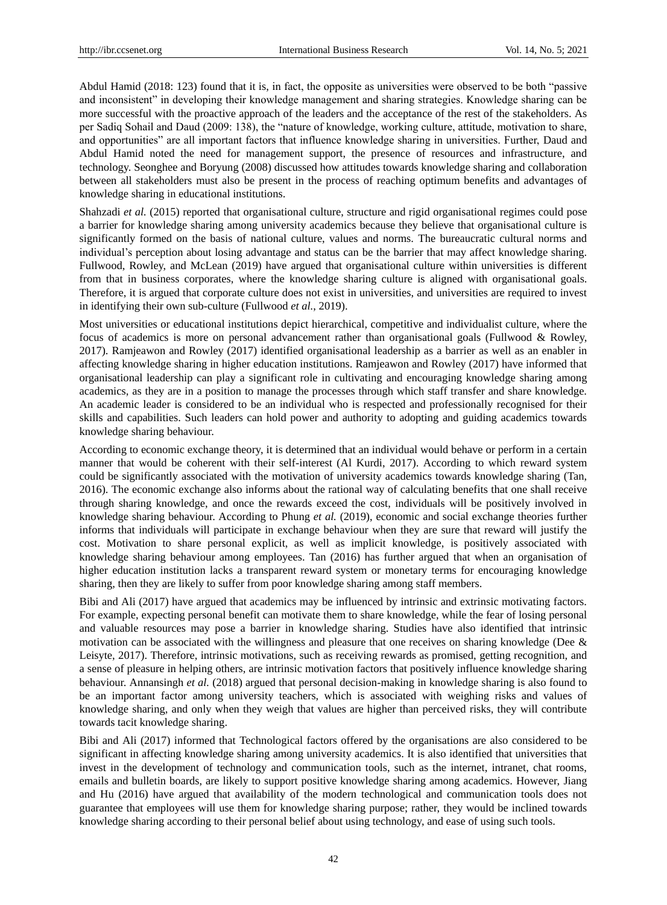Abdul Hamid (2018: 123) found that it is, in fact, the opposite as universities were observed to be both "passive and inconsistent" in developing their knowledge management and sharing strategies. Knowledge sharing can be more successful with the proactive approach of the leaders and the acceptance of the rest of the stakeholders. As per Sadiq Sohail and Daud (2009: 138), the "nature of knowledge, working culture, attitude, motivation to share, and opportunities" are all important factors that influence knowledge sharing in universities. Further, Daud and Abdul Hamid noted the need for management support, the presence of resources and infrastructure, and technology. Seonghee and Boryung (2008) discussed how attitudes towards knowledge sharing and collaboration between all stakeholders must also be present in the process of reaching optimum benefits and advantages of knowledge sharing in educational institutions.

Shahzadi *et al.* (2015) reported that organisational culture, structure and rigid organisational regimes could pose a barrier for knowledge sharing among university academics because they believe that organisational culture is significantly formed on the basis of national culture, values and norms. The bureaucratic cultural norms and individual's perception about losing advantage and status can be the barrier that may affect knowledge sharing. Fullwood, Rowley, and McLean (2019) have argued that organisational culture within universities is different from that in business corporates, where the knowledge sharing culture is aligned with organisational goals. Therefore, it is argued that corporate culture does not exist in universities, and universities are required to invest in identifying their own sub-culture (Fullwood *et al.*, 2019).

Most universities or educational institutions depict hierarchical, competitive and individualist culture, where the focus of academics is more on personal advancement rather than organisational goals (Fullwood & Rowley, 2017). Ramjeawon and Rowley (2017) identified organisational leadership as a barrier as well as an enabler in affecting knowledge sharing in higher education institutions. Ramjeawon and Rowley (2017) have informed that organisational leadership can play a significant role in cultivating and encouraging knowledge sharing among academics, as they are in a position to manage the processes through which staff transfer and share knowledge. An academic leader is considered to be an individual who is respected and professionally recognised for their skills and capabilities. Such leaders can hold power and authority to adopting and guiding academics towards knowledge sharing behaviour.

According to economic exchange theory, it is determined that an individual would behave or perform in a certain manner that would be coherent with their self-interest (Al Kurdi, 2017). According to which reward system could be significantly associated with the motivation of university academics towards knowledge sharing (Tan, 2016). The economic exchange also informs about the rational way of calculating benefits that one shall receive through sharing knowledge, and once the rewards exceed the cost, individuals will be positively involved in knowledge sharing behaviour. According to Phung *et al.* (2019), economic and social exchange theories further informs that individuals will participate in exchange behaviour when they are sure that reward will justify the cost. Motivation to share personal explicit, as well as implicit knowledge, is positively associated with knowledge sharing behaviour among employees. Tan (2016) has further argued that when an organisation of higher education institution lacks a transparent reward system or monetary terms for encouraging knowledge sharing, then they are likely to suffer from poor knowledge sharing among staff members.

Bibi and Ali (2017) have argued that academics may be influenced by intrinsic and extrinsic motivating factors. For example, expecting personal benefit can motivate them to share knowledge, while the fear of losing personal and valuable resources may pose a barrier in knowledge sharing. Studies have also identified that intrinsic motivation can be associated with the willingness and pleasure that one receives on sharing knowledge (Dee & Leisyte, 2017). Therefore, intrinsic motivations, such as receiving rewards as promised, getting recognition, and a sense of pleasure in helping others, are intrinsic motivation factors that positively influence knowledge sharing behaviour. Annansingh *et al.* (2018) argued that personal decision-making in knowledge sharing is also found to be an important factor among university teachers, which is associated with weighing risks and values of knowledge sharing, and only when they weigh that values are higher than perceived risks, they will contribute towards tacit knowledge sharing.

Bibi and Ali (2017) informed that Technological factors offered by the organisations are also considered to be significant in affecting knowledge sharing among university academics. It is also identified that universities that invest in the development of technology and communication tools, such as the internet, intranet, chat rooms, emails and bulletin boards, are likely to support positive knowledge sharing among academics. However, Jiang and Hu (2016) have argued that availability of the modern technological and communication tools does not guarantee that employees will use them for knowledge sharing purpose; rather, they would be inclined towards knowledge sharing according to their personal belief about using technology, and ease of using such tools.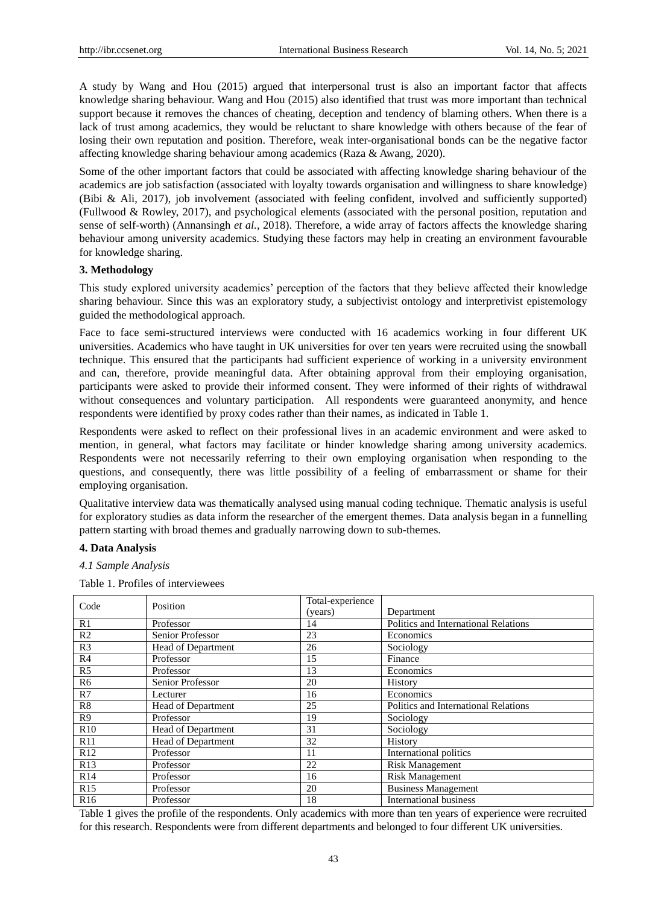A study by Wang and Hou (2015) argued that interpersonal trust is also an important factor that affects knowledge sharing behaviour. Wang and Hou (2015) also identified that trust was more important than technical support because it removes the chances of cheating, deception and tendency of blaming others. When there is a lack of trust among academics, they would be reluctant to share knowledge with others because of the fear of losing their own reputation and position. Therefore, weak inter-organisational bonds can be the negative factor affecting knowledge sharing behaviour among academics (Raza & Awang, 2020).

Some of the other important factors that could be associated with affecting knowledge sharing behaviour of the academics are job satisfaction (associated with loyalty towards organisation and willingness to share knowledge) (Bibi & Ali, 2017), job involvement (associated with feeling confident, involved and sufficiently supported) (Fullwood & Rowley, 2017), and psychological elements (associated with the personal position, reputation and sense of self-worth) (Annansingh *et al.*, 2018). Therefore, a wide array of factors affects the knowledge sharing behaviour among university academics. Studying these factors may help in creating an environment favourable for knowledge sharing.

#### **3. Methodology**

This study explored university academics' perception of the factors that they believe affected their knowledge sharing behaviour. Since this was an exploratory study, a subjectivist ontology and interpretivist epistemology guided the methodological approach.

Face to face semi-structured interviews were conducted with 16 academics working in four different UK universities. Academics who have taught in UK universities for over ten years were recruited using the snowball technique. This ensured that the participants had sufficient experience of working in a university environment and can, therefore, provide meaningful data. After obtaining approval from their employing organisation, participants were asked to provide their informed consent. They were informed of their rights of withdrawal without consequences and voluntary participation. All respondents were guaranteed anonymity, and hence respondents were identified by proxy codes rather than their names, as indicated in Table 1.

Respondents were asked to reflect on their professional lives in an academic environment and were asked to mention, in general, what factors may facilitate or hinder knowledge sharing among university academics. Respondents were not necessarily referring to their own employing organisation when responding to the questions, and consequently, there was little possibility of a feeling of embarrassment or shame for their employing organisation.

Qualitative interview data was thematically analysed using manual coding technique. Thematic analysis is useful for exploratory studies as data inform the researcher of the emergent themes. Data analysis began in a funnelling pattern starting with broad themes and gradually narrowing down to sub-themes.

## **4. Data Analysis**

*4.1 Sample Analysis*

Table 1. Profiles of interviewees

| Code            | Position           | Total-experience |                                      |
|-----------------|--------------------|------------------|--------------------------------------|
|                 |                    | (years)          | Department                           |
| R1              | Professor          | 14               | Politics and International Relations |
| R <sub>2</sub>  | Senior Professor   | 23               | Economics                            |
| R <sub>3</sub>  | Head of Department | 26               | Sociology                            |
| R <sub>4</sub>  | Professor          | 15               | Finance                              |
| R <sub>5</sub>  | Professor          | 13               | Economics                            |
| R <sub>6</sub>  | Senior Professor   | 20               | History                              |
| R7              | Lecturer           | 16               | Economics                            |
| R8              | Head of Department | 25               | Politics and International Relations |
| R <sub>9</sub>  | Professor          | 19               | Sociology                            |
| R10             | Head of Department | 31               | Sociology                            |
| R11             | Head of Department | 32               | History                              |
| R12             | Professor          | 11               | International politics               |
| R13             | Professor          | 22               | <b>Risk Management</b>               |
| R14             | Professor          | 16               | <b>Risk Management</b>               |
| R15             | Professor          | 20               | <b>Business Management</b>           |
| R <sub>16</sub> | Professor          | 18               | International business               |

Table 1 gives the profile of the respondents. Only academics with more than ten years of experience were recruited for this research. Respondents were from different departments and belonged to four different UK universities.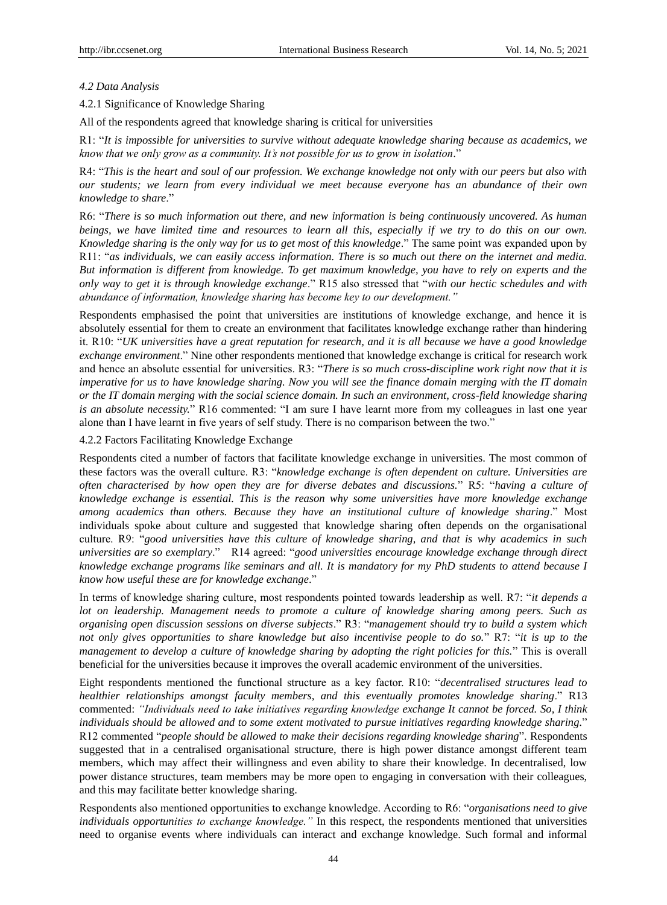## *4.2 Data Analysis*

4.2.1 Significance of Knowledge Sharing

All of the respondents agreed that knowledge sharing is critical for universities

R1: "*It is impossible for universities to survive without adequate knowledge sharing because as academics, we know that we only grow as a community. It's not possible for us to grow in isolation*."

R4: "*This is the heart and soul of our profession. We exchange knowledge not only with our peers but also with our students; we learn from every individual we meet because everyone has an abundance of their own knowledge to share*."

R6: "*There is so much information out there, and new information is being continuously uncovered. As human beings, we have limited time and resources to learn all this, especially if we try to do this on our own. Knowledge sharing is the only way for us to get most of this knowledge*." The same point was expanded upon by R11: "*as individuals, we can easily access information. There is so much out there on the internet and media. But information is different from knowledge. To get maximum knowledge, you have to rely on experts and the only way to get it is through knowledge exchange*." R15 also stressed that "*with our hectic schedules and with abundance of information, knowledge sharing has become key to our development."* 

Respondents emphasised the point that universities are institutions of knowledge exchange, and hence it is absolutely essential for them to create an environment that facilitates knowledge exchange rather than hindering it. R10: "*UK universities have a great reputation for research, and it is all because we have a good knowledge exchange environment*." Nine other respondents mentioned that knowledge exchange is critical for research work and hence an absolute essential for universities. R3: "*There is so much cross-discipline work right now that it is imperative for us to have knowledge sharing. Now you will see the finance domain merging with the IT domain or the IT domain merging with the social science domain. In such an environment, cross-field knowledge sharing is an absolute necessity.*" R16 commented: "I am sure I have learnt more from my colleagues in last one year alone than I have learnt in five years of self study. There is no comparison between the two."

4.2.2 Factors Facilitating Knowledge Exchange

Respondents cited a number of factors that facilitate knowledge exchange in universities. The most common of these factors was the overall culture. R3: "*knowledge exchange is often dependent on culture. Universities are often characterised by how open they are for diverse debates and discussions.*" R5: "*having a culture of knowledge exchange is essential. This is the reason why some universities have more knowledge exchange among academics than others. Because they have an institutional culture of knowledge sharing*." Most individuals spoke about culture and suggested that knowledge sharing often depends on the organisational culture. R9: "*good universities have this culture of knowledge sharing, and that is why academics in such universities are so exemplary*." R14 agreed: "*good universities encourage knowledge exchange through direct knowledge exchange programs like seminars and all. It is mandatory for my PhD students to attend because I know how useful these are for knowledge exchange*."

In terms of knowledge sharing culture, most respondents pointed towards leadership as well. R7: "*it depends a lot on leadership. Management needs to promote a culture of knowledge sharing among peers. Such as organising open discussion sessions on diverse subjects*." R3: "*management should try to build a system which not only gives opportunities to share knowledge but also incentivise people to do so.*" R7: "*it is up to the management to develop a culture of knowledge sharing by adopting the right policies for this.*" This is overall beneficial for the universities because it improves the overall academic environment of the universities.

Eight respondents mentioned the functional structure as a key factor. R10: "*decentralised structures lead to healthier relationships amongst faculty members, and this eventually promotes knowledge sharing*." R13 commented: *"Individuals need to take initiatives regarding knowledge exchange It cannot be forced. So, I think individuals should be allowed and to some extent motivated to pursue initiatives regarding knowledge sharing.*" R12 commented "*people should be allowed to make their decisions regarding knowledge sharing*". Respondents suggested that in a centralised organisational structure, there is high power distance amongst different team members, which may affect their willingness and even ability to share their knowledge. In decentralised, low power distance structures, team members may be more open to engaging in conversation with their colleagues, and this may facilitate better knowledge sharing.

Respondents also mentioned opportunities to exchange knowledge. According to R6: "*organisations need to give individuals opportunities to exchange knowledge."* In this respect, the respondents mentioned that universities need to organise events where individuals can interact and exchange knowledge. Such formal and informal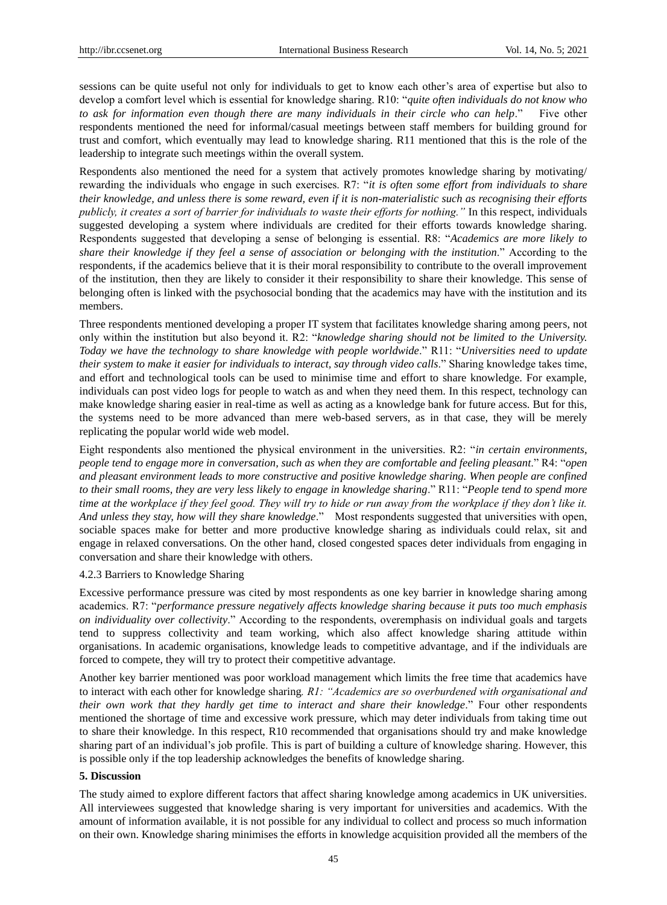sessions can be quite useful not only for individuals to get to know each other's area of expertise but also to develop a comfort level which is essential for knowledge sharing. R10: "*quite often individuals do not know who to ask for information even though there are many individuals in their circle who can help*." Five other respondents mentioned the need for informal/casual meetings between staff members for building ground for trust and comfort, which eventually may lead to knowledge sharing. R11 mentioned that this is the role of the leadership to integrate such meetings within the overall system.

Respondents also mentioned the need for a system that actively promotes knowledge sharing by motivating/ rewarding the individuals who engage in such exercises. R7: "*it is often some effort from individuals to share their knowledge, and unless there is some reward, even if it is non-materialistic such as recognising their efforts publicly, it creates a sort of barrier for individuals to waste their efforts for nothing."* In this respect, individuals suggested developing a system where individuals are credited for their efforts towards knowledge sharing. Respondents suggested that developing a sense of belonging is essential. R8: "*Academics are more likely to share their knowledge if they feel a sense of association or belonging with the institution*." According to the respondents, if the academics believe that it is their moral responsibility to contribute to the overall improvement of the institution, then they are likely to consider it their responsibility to share their knowledge. This sense of belonging often is linked with the psychosocial bonding that the academics may have with the institution and its members.

Three respondents mentioned developing a proper IT system that facilitates knowledge sharing among peers, not only within the institution but also beyond it. R2: "*knowledge sharing should not be limited to the University. Today we have the technology to share knowledge with people worldwide*." R11: "*Universities need to update their system to make it easier for individuals to interact, say through video calls*." Sharing knowledge takes time, and effort and technological tools can be used to minimise time and effort to share knowledge. For example, individuals can post video logs for people to watch as and when they need them. In this respect, technology can make knowledge sharing easier in real-time as well as acting as a knowledge bank for future access. But for this, the systems need to be more advanced than mere web-based servers, as in that case, they will be merely replicating the popular world wide web model.

Eight respondents also mentioned the physical environment in the universities. R2: "*in certain environments, people tend to engage more in conversation, such as when they are comfortable and feeling pleasant*." R4: "*open and pleasant environment leads to more constructive and positive knowledge sharing. When people are confined to their small rooms, they are very less likely to engage in knowledge sharing*." R11: "*People tend to spend more time at the workplace if they feel good. They will try to hide or run away from the workplace if they don't like it. And unless they stay, how will they share knowledge*." Most respondents suggested that universities with open, sociable spaces make for better and more productive knowledge sharing as individuals could relax, sit and engage in relaxed conversations. On the other hand, closed congested spaces deter individuals from engaging in conversation and share their knowledge with others.

#### 4.2.3 Barriers to Knowledge Sharing

Excessive performance pressure was cited by most respondents as one key barrier in knowledge sharing among academics. R7: "*performance pressure negatively affects knowledge sharing because it puts too much emphasis on individuality over collectivity*." According to the respondents, overemphasis on individual goals and targets tend to suppress collectivity and team working, which also affect knowledge sharing attitude within organisations. In academic organisations, knowledge leads to competitive advantage, and if the individuals are forced to compete, they will try to protect their competitive advantage.

Another key barrier mentioned was poor workload management which limits the free time that academics have to interact with each other for knowledge sharing*. R1: "Academics are so overburdened with organisational and their own work that they hardly get time to interact and share their knowledge*." Four other respondents mentioned the shortage of time and excessive work pressure, which may deter individuals from taking time out to share their knowledge. In this respect, R10 recommended that organisations should try and make knowledge sharing part of an individual's job profile. This is part of building a culture of knowledge sharing. However, this is possible only if the top leadership acknowledges the benefits of knowledge sharing.

# **5. Discussion**

The study aimed to explore different factors that affect sharing knowledge among academics in UK universities. All interviewees suggested that knowledge sharing is very important for universities and academics. With the amount of information available, it is not possible for any individual to collect and process so much information on their own. Knowledge sharing minimises the efforts in knowledge acquisition provided all the members of the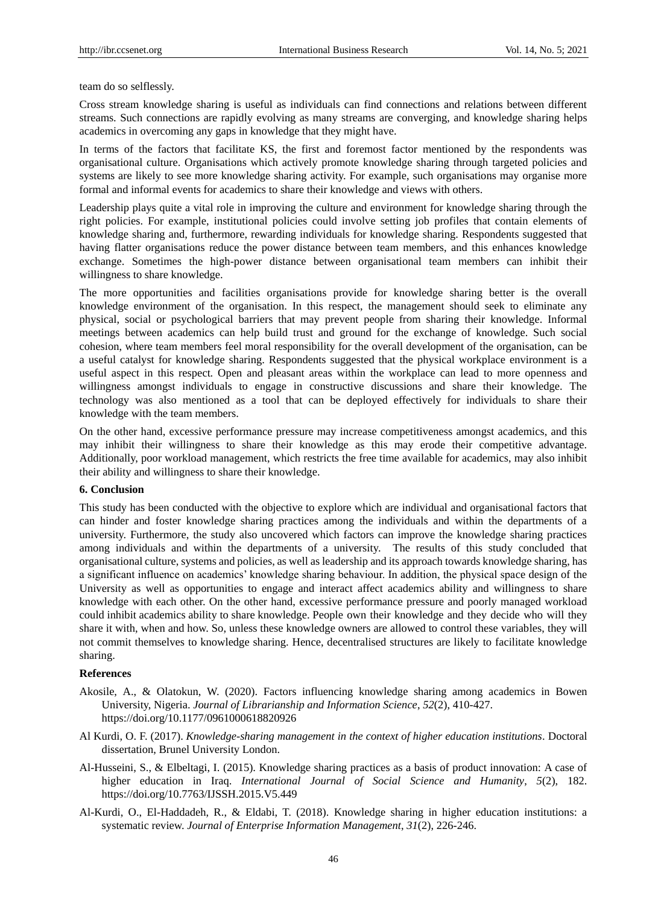team do so selflessly.

Cross stream knowledge sharing is useful as individuals can find connections and relations between different streams. Such connections are rapidly evolving as many streams are converging, and knowledge sharing helps academics in overcoming any gaps in knowledge that they might have.

In terms of the factors that facilitate KS, the first and foremost factor mentioned by the respondents was organisational culture. Organisations which actively promote knowledge sharing through targeted policies and systems are likely to see more knowledge sharing activity. For example, such organisations may organise more formal and informal events for academics to share their knowledge and views with others.

Leadership plays quite a vital role in improving the culture and environment for knowledge sharing through the right policies. For example, institutional policies could involve setting job profiles that contain elements of knowledge sharing and, furthermore, rewarding individuals for knowledge sharing. Respondents suggested that having flatter organisations reduce the power distance between team members, and this enhances knowledge exchange. Sometimes the high-power distance between organisational team members can inhibit their willingness to share knowledge.

The more opportunities and facilities organisations provide for knowledge sharing better is the overall knowledge environment of the organisation. In this respect, the management should seek to eliminate any physical, social or psychological barriers that may prevent people from sharing their knowledge. Informal meetings between academics can help build trust and ground for the exchange of knowledge. Such social cohesion, where team members feel moral responsibility for the overall development of the organisation, can be a useful catalyst for knowledge sharing. Respondents suggested that the physical workplace environment is a useful aspect in this respect. Open and pleasant areas within the workplace can lead to more openness and willingness amongst individuals to engage in constructive discussions and share their knowledge. The technology was also mentioned as a tool that can be deployed effectively for individuals to share their knowledge with the team members.

On the other hand, excessive performance pressure may increase competitiveness amongst academics, and this may inhibit their willingness to share their knowledge as this may erode their competitive advantage. Additionally, poor workload management, which restricts the free time available for academics, may also inhibit their ability and willingness to share their knowledge.

# **6. Conclusion**

This study has been conducted with the objective to explore which are individual and organisational factors that can hinder and foster knowledge sharing practices among the individuals and within the departments of a university. Furthermore, the study also uncovered which factors can improve the knowledge sharing practices among individuals and within the departments of a university. The results of this study concluded that organisational culture, systems and policies, as well as leadership and its approach towards knowledge sharing, has a significant influence on academics' knowledge sharing behaviour. In addition, the physical space design of the University as well as opportunities to engage and interact affect academics ability and willingness to share knowledge with each other. On the other hand, excessive performance pressure and poorly managed workload could inhibit academics ability to share knowledge. People own their knowledge and they decide who will they share it with, when and how. So, unless these knowledge owners are allowed to control these variables, they will not commit themselves to knowledge sharing. Hence, decentralised structures are likely to facilitate knowledge sharing.

# **References**

- Akosile, A., & Olatokun, W. (2020). Factors influencing knowledge sharing among academics in Bowen University, Nigeria. *Journal of Librarianship and Information Science*, *52*(2), 410-427. https://doi.org/10.1177/0961000618820926
- Al Kurdi, O. F. (2017). *Knowledge-sharing management in the context of higher education institutions*. Doctoral dissertation, Brunel University London.
- Al-Husseini, S., & Elbeltagi, I. (2015). Knowledge sharing practices as a basis of product innovation: A case of higher education in Iraq. *International Journal of Social Science and Humanity*, *5*(2), 182. https://doi.org/10.7763/IJSSH.2015.V5.449
- Al-Kurdi, O., El-Haddadeh, R., & Eldabi, T. (2018). Knowledge sharing in higher education institutions: a systematic review. *Journal of Enterprise Information Management*, *31*(2), 226-246.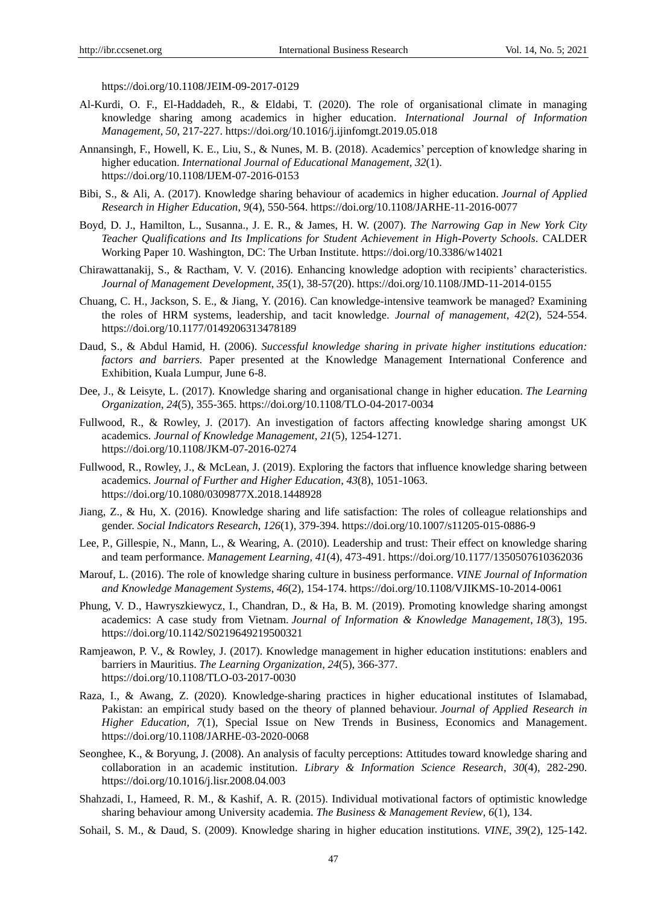https://doi.org/10.1108/JEIM-09-2017-0129

- Al-Kurdi, O. F., El-Haddadeh, R., & Eldabi, T. (2020). The role of organisational climate in managing knowledge sharing among academics in higher education. *International Journal of Information Management*, *50*, 217-227. https://doi.org/10.1016/j.ijinfomgt.2019.05.018
- Annansingh, F., Howell, K. E., Liu, S., & Nunes, M. B. (2018). Academics' perception of knowledge sharing in higher education. *International Journal of Educational Management*, *32*(1). https://doi.org/10.1108/IJEM-07-2016-0153
- Bibi, S., & Ali, A. (2017). Knowledge sharing behaviour of academics in higher education. *Journal of Applied Research in Higher Education*, *9*(4), 550-564. https://doi.org/10.1108/JARHE-11-2016-0077
- Boyd, D. J., Hamilton, L., Susanna., J. E. R., & James, H. W. (2007). *The Narrowing Gap in New York City Teacher Qualifications and Its Implications for Student Achievement in High-Poverty Schools*. CALDER Working Paper 10. Washington, DC: The Urban Institute. https://doi.org/10.3386/w14021
- Chirawattanakij, S., & Ractham, V. V. (2016). Enhancing knowledge adoption with recipients' characteristics. *Journal of Management Development*, *35*(1), 38-57(20). https://doi.org/10.1108/JMD-11-2014-0155
- Chuang, C. H., Jackson, S. E., & Jiang, Y. (2016). Can knowledge-intensive teamwork be managed? Examining the roles of HRM systems, leadership, and tacit knowledge. *Journal of management*, *42*(2), 524-554. https://doi.org/10.1177/0149206313478189
- Daud, S., & Abdul Hamid, H. (2006). *Successful knowledge sharing in private higher institutions education: factors and barriers.* Paper presented at the Knowledge Management International Conference and Exhibition, Kuala Lumpur, June 6-8.
- Dee, J., & Leisyte, L. (2017). Knowledge sharing and organisational change in higher education. *The Learning Organization*, *24*(5), 355-365. https://doi.org/10.1108/TLO-04-2017-0034
- Fullwood, R., & Rowley, J. (2017). An investigation of factors affecting knowledge sharing amongst UK academics. *Journal of Knowledge Management, 21*(5), 1254-1271. https://doi.org/10.1108/JKM-07-2016-0274
- Fullwood, R., Rowley, J., & McLean, J. (2019). Exploring the factors that influence knowledge sharing between academics. *Journal of Further and Higher Education*, *43*(8), 1051-1063. https://doi.org/10.1080/0309877X.2018.1448928
- Jiang, Z., & Hu, X. (2016). Knowledge sharing and life satisfaction: The roles of colleague relationships and gender. *Social Indicators Research*, *126*(1), 379-394. https://doi.org/10.1007/s11205-015-0886-9
- Lee, P., Gillespie, N., Mann, L., & Wearing, A. (2010). Leadership and trust: Their effect on knowledge sharing and team performance. *Management Learning, 41*(4), 473-491. https://doi.org/10.1177/1350507610362036
- Marouf, L. (2016). The role of knowledge sharing culture in business performance. *VINE Journal of Information and Knowledge Management Systems*, *46*(2), 154-174. https://doi.org/10.1108/VJIKMS-10-2014-0061
- Phung, V. D., Hawryszkiewycz, I., Chandran, D., & Ha, B. M. (2019). Promoting knowledge sharing amongst academics: A case study from Vietnam. *Journal of Information & Knowledge Management*, *18*(3), 195. https://doi.org/10.1142/S0219649219500321
- Ramjeawon, P. V., & Rowley, J. (2017). Knowledge management in higher education institutions: enablers and barriers in Mauritius. *The Learning Organization, 24*(5), 366-377. https://doi.org/10.1108/TLO-03-2017-0030
- Raza, I., & Awang, Z. (2020). Knowledge-sharing practices in higher educational institutes of Islamabad, Pakistan: an empirical study based on the theory of planned behaviour. *Journal of Applied Research in Higher Education*, *7*(1), Special Issue on New Trends in Business, Economics and Management. https://doi.org/10.1108/JARHE-03-2020-0068
- Seonghee, K., & Boryung, J. (2008). An analysis of faculty perceptions: Attitudes toward knowledge sharing and collaboration in an academic institution. *Library & Information Science Research*, *30*(4), 282-290. https://doi.org/10.1016/j.lisr.2008.04.003
- Shahzadi, I., Hameed, R. M., & Kashif, A. R. (2015). Individual motivational factors of optimistic knowledge sharing behaviour among University academia. *The Business & Management Review*, *6*(1), 134.
- Sohail, S. M., & Daud, S. (2009). Knowledge sharing in higher education institutions. *VINE*, *39*(2), 125-142.